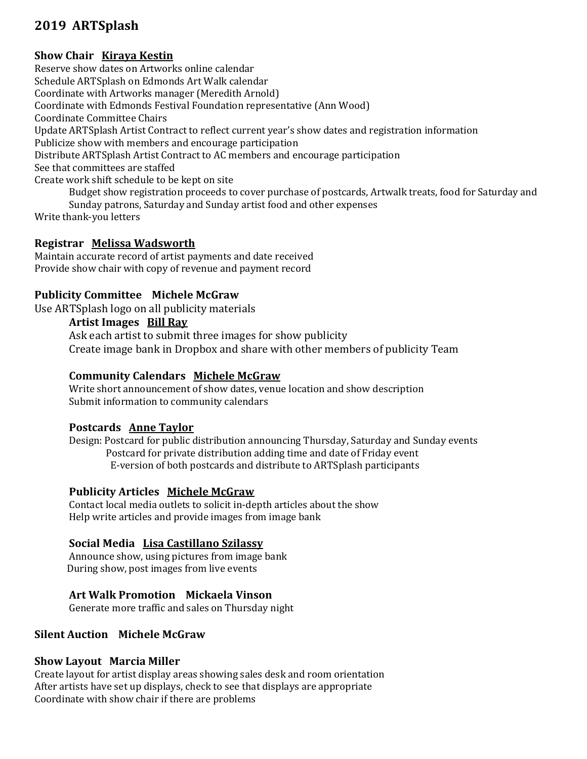# 2019 ARTSplash

## Show Chair Kiraya Kestin

Reserve show dates on Artworks online calendar Schedule ARTSplash on Edmonds Art Walk calendar Coordinate with Artworks manager (Meredith Arnold) Coordinate with Edmonds Festival Foundation representative (Ann Wood) Coordinate Committee Chairs Update ARTSplash Artist Contract to reflect current year's show dates and registration information Publicize show with members and encourage participation Distribute ARTSplash Artist Contract to AC members and encourage participation See that committees are staffed Create work shift schedule to be kept on site Budget show registration proceeds to cover purchase of postcards, Artwalk treats, food for Saturday and Sunday patrons, Saturday and Sunday artist food and other expenses

Write thank-you letters

## Registrar Melissa Wadsworth

Maintain accurate record of artist payments and date received Provide show chair with copy of revenue and payment record

## Publicity Committee Michele McGraw

Use ARTSplash logo on all publicity materials

#### Artist Images Bill Ray

 Ask each artist to submit three images for show publicity Create image bank in Dropbox and share with other members of publicity Team

## Community Calendars Michele McGraw

Write short announcement of show dates, venue location and show description Submit information to community calendars

## Postcards Anne Taylor

Design: Postcard for public distribution announcing Thursday, Saturday and Sunday events Postcard for private distribution adding time and date of Friday event E-version of both postcards and distribute to ARTSplash participants

## Publicity Articles Michele McGraw

Contact local media outlets to solicit in-depth articles about the show Help write articles and provide images from image bank

## Social Media Lisa Castillano Szilassy

Announce show, using pictures from image bank During show, post images from live events

## Art Walk Promotion Mickaela Vinson

Generate more traffic and sales on Thursday night

## Silent Auction Michele McGraw

#### Show Layout Marcia Miller

Create layout for artist display areas showing sales desk and room orientation After artists have set up displays, check to see that displays are appropriate Coordinate with show chair if there are problems